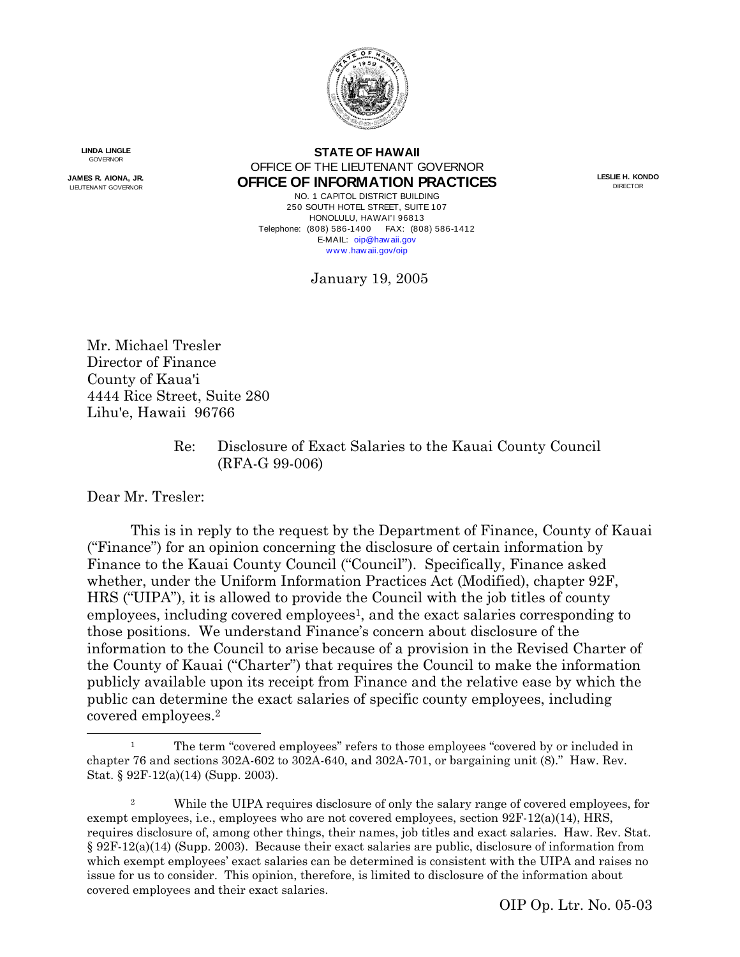

**LINDA LINGLE GOVERNOR** 

**JAMES R. AIONA, JR.** LIEUTENANT GOVERNOR

**STATE OF HAWAII** OFFICE OF THE LIEUTENANT GOVERNOR **OFFICE OF INFORMATION PRACTICES**

NO. 1 CAPITOL DISTRICT BUILDING 250 SOUTH HOTEL STREET, SUITE 107 HONOLULU, HAWAI'I 96813 Telephone: (808) 586-1400 FAX: (808) 586-1412 E-MAIL: [oip@haw aii.gov](mailto:oip@state.hi.us) [w w w .haw aii.gov/oip](http://www.state.hi.us/oip)

**LESLIE H. KONDO** DIRECTOR

January 19, 2005

Mr. Michael Tresler Director of Finance County of Kaua'i 4444 Rice Street, Suite 280 Lihu'e, Hawaii 96766

> Re: Disclosure of Exact Salaries to the Kauai County Council (RFA-G 99-006)

Dear Mr. Tresler:

 $\overline{a}$ 

This is in reply to the request by the Department of Finance, County of Kauai ("Finance") for an opinion concerning the disclosure of certain information by Finance to the Kauai County Council ("Council"). Specifically, Finance asked whether, under the Uniform Information Practices Act (Modified), chapter 92F, HRS ("UIPA"), it is allowed to provide the Council with the job titles of county employees, including covered employees<sup>1</sup>, and the exact salaries corresponding to those positions. We understand Finance's concern about disclosure of the information to the Council to arise because of a provision in the Revised Charter of the County of Kauai ("Charter") that requires the Council to make the information publicly available upon its receipt from Finance and the relative ease by which the public can determine the exact salaries of specific county employees, including covered employees.2

<sup>1</sup> The term "covered employees" refers to those employees "covered by or included in chapter 76 and sections 302A-602 to 302A-640, and 302A-701, or bargaining unit (8)." Haw. Rev. Stat. § 92F-12(a)(14) (Supp. 2003).

<sup>&</sup>lt;sup>2</sup> While the UIPA requires disclosure of only the salary range of covered employees, for exempt employees, i.e., employees who are not covered employees, section 92F-12(a)(14), HRS, requires disclosure of, among other things, their names, job titles and exact salaries. Haw. Rev. Stat. § 92F-12(a)(14) (Supp. 2003). Because their exact salaries are public, disclosure of information from which exempt employees' exact salaries can be determined is consistent with the UIPA and raises no issue for us to consider. This opinion, therefore, is limited to disclosure of the information about covered employees and their exact salaries.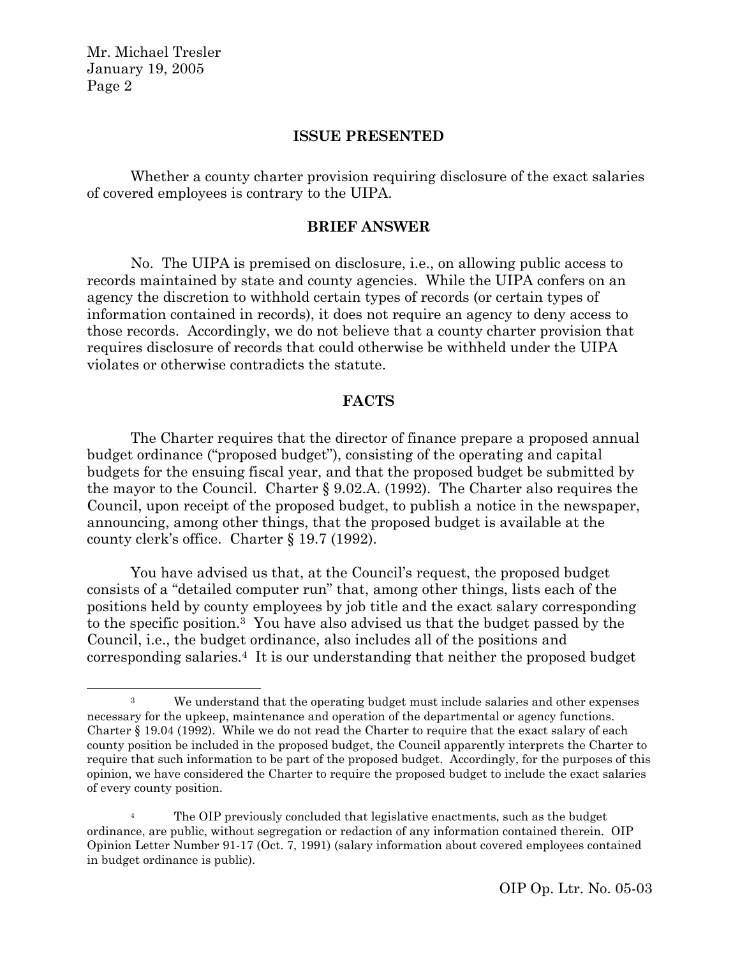$\overline{a}$ 

# **ISSUE PRESENTED**

Whether a county charter provision requiring disclosure of the exact salaries of covered employees is contrary to the UIPA.

### **BRIEF ANSWER**

No. The UIPA is premised on disclosure, i.e., on allowing public access to records maintained by state and county agencies. While the UIPA confers on an agency the discretion to withhold certain types of records (or certain types of information contained in records), it does not require an agency to deny access to those records. Accordingly, we do not believe that a county charter provision that requires disclosure of records that could otherwise be withheld under the UIPA violates or otherwise contradicts the statute.

#### **FACTS**

The Charter requires that the director of finance prepare a proposed annual budget ordinance ("proposed budget"), consisting of the operating and capital budgets for the ensuing fiscal year, and that the proposed budget be submitted by the mayor to the Council. Charter § 9.02.A. (1992). The Charter also requires the Council, upon receipt of the proposed budget, to publish a notice in the newspaper, announcing, among other things, that the proposed budget is available at the county clerk's office. Charter § 19.7 (1992).

You have advised us that, at the Council's request, the proposed budget consists of a "detailed computer run" that, among other things, lists each of the positions held by county employees by job title and the exact salary corresponding to the specific position.3 You have also advised us that the budget passed by the Council, i.e., the budget ordinance, also includes all of the positions and corresponding salaries.4 It is our understanding that neither the proposed budget

<sup>3</sup> We understand that the operating budget must include salaries and other expenses necessary for the upkeep, maintenance and operation of the departmental or agency functions. Charter § 19.04 (1992). While we do not read the Charter to require that the exact salary of each county position be included in the proposed budget, the Council apparently interprets the Charter to require that such information to be part of the proposed budget. Accordingly, for the purposes of this opinion, we have considered the Charter to require the proposed budget to include the exact salaries of every county position.

The OIP previously concluded that legislative enactments, such as the budget ordinance, are public, without segregation or redaction of any information contained therein. OIP Opinion Letter Number 91-17 (Oct. 7, 1991) (salary information about covered employees contained in budget ordinance is public).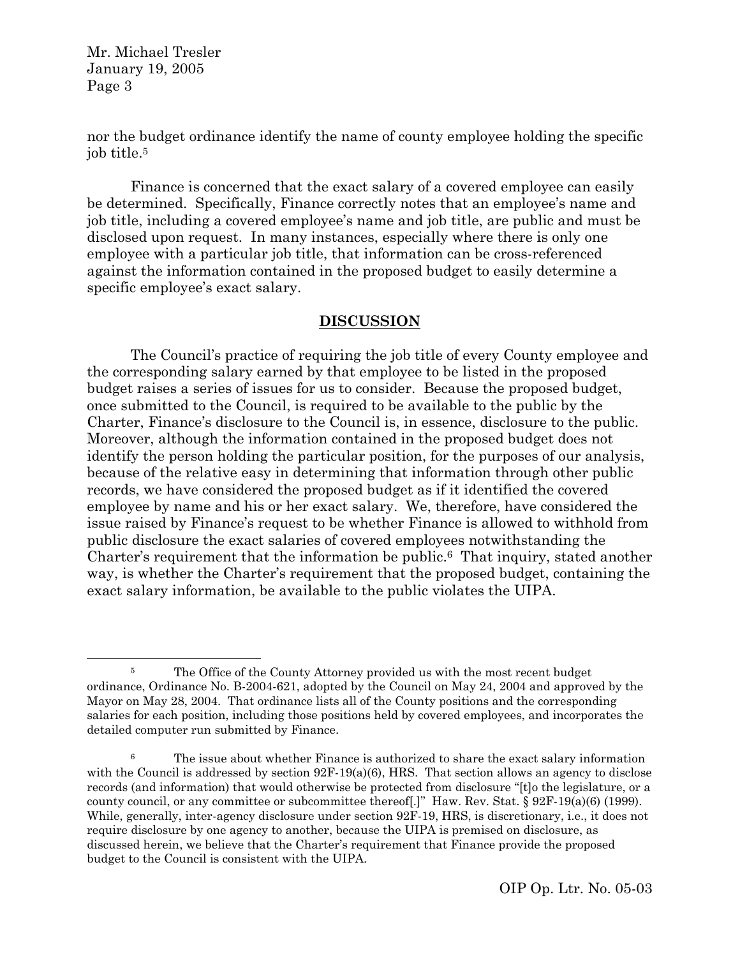$\overline{a}$ 

nor the budget ordinance identify the name of county employee holding the specific job title.5

Finance is concerned that the exact salary of a covered employee can easily be determined. Specifically, Finance correctly notes that an employee's name and job title, including a covered employee's name and job title, are public and must be disclosed upon request. In many instances, especially where there is only one employee with a particular job title, that information can be cross-referenced against the information contained in the proposed budget to easily determine a specific employee's exact salary.

# **DISCUSSION**

The Council's practice of requiring the job title of every County employee and the corresponding salary earned by that employee to be listed in the proposed budget raises a series of issues for us to consider. Because the proposed budget, once submitted to the Council, is required to be available to the public by the Charter, Finance's disclosure to the Council is, in essence, disclosure to the public. Moreover, although the information contained in the proposed budget does not identify the person holding the particular position, for the purposes of our analysis, because of the relative easy in determining that information through other public records, we have considered the proposed budget as if it identified the covered employee by name and his or her exact salary. We, therefore, have considered the issue raised by Finance's request to be whether Finance is allowed to withhold from public disclosure the exact salaries of covered employees notwithstanding the Charter's requirement that the information be public.6 That inquiry, stated another way, is whether the Charter's requirement that the proposed budget, containing the exact salary information, be available to the public violates the UIPA.

<sup>&</sup>lt;sup>5</sup> The Office of the County Attorney provided us with the most recent budget ordinance, Ordinance No. B-2004-621, adopted by the Council on May 24, 2004 and approved by the Mayor on May 28, 2004. That ordinance lists all of the County positions and the corresponding salaries for each position, including those positions held by covered employees, and incorporates the detailed computer run submitted by Finance.

<sup>6</sup> The issue about whether Finance is authorized to share the exact salary information with the Council is addressed by section  $92F-19(a)(6)$ , HRS. That section allows an agency to disclose records (and information) that would otherwise be protected from disclosure "[t]o the legislature, or a county council, or any committee or subcommittee thereof[.]" Haw. Rev. Stat. § 92F-19(a)(6) (1999). While, generally, inter-agency disclosure under section 92F-19, HRS, is discretionary, i.e., it does not require disclosure by one agency to another, because the UIPA is premised on disclosure, as discussed herein, we believe that the Charter's requirement that Finance provide the proposed budget to the Council is consistent with the UIPA.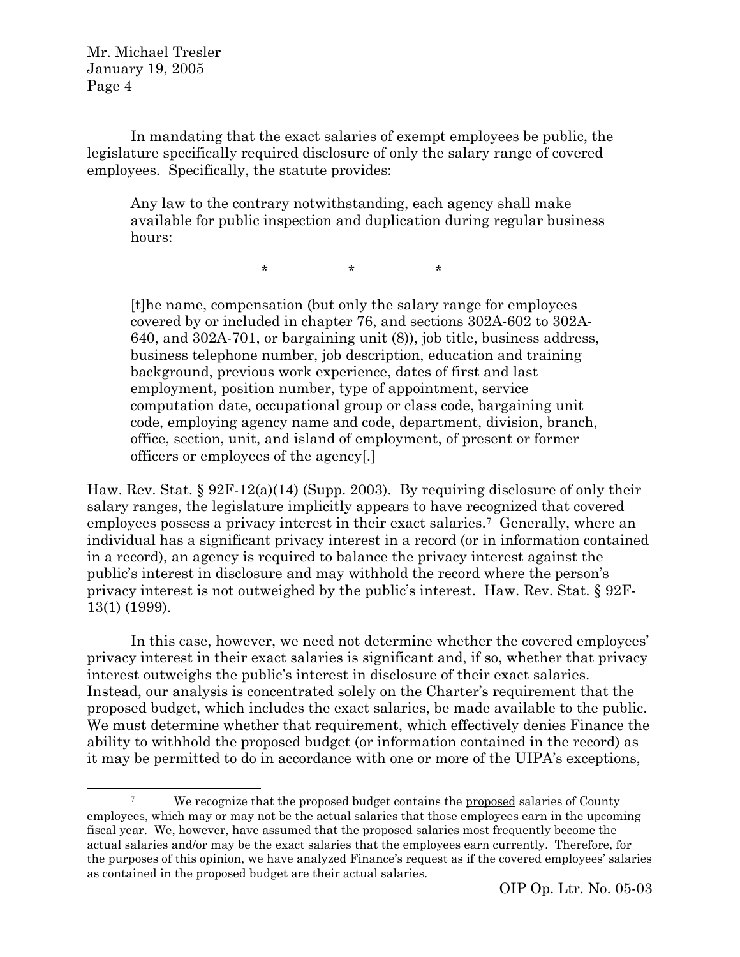$\overline{a}$ 

In mandating that the exact salaries of exempt employees be public, the legislature specifically required disclosure of only the salary range of covered employees. Specifically, the statute provides:

Any law to the contrary notwithstanding, each agency shall make available for public inspection and duplication during regular business hours:

\* \* \*

[t]he name, compensation (but only the salary range for employees covered by or included in chapter 76, and sections 302A-602 to 302A-640, and 302A-701, or bargaining unit (8)), job title, business address, business telephone number, job description, education and training background, previous work experience, dates of first and last employment, position number, type of appointment, service computation date, occupational group or class code, bargaining unit code, employing agency name and code, department, division, branch, office, section, unit, and island of employment, of present or former officers or employees of the agency[.]

Haw. Rev. Stat. § 92F-12(a)(14) (Supp. 2003). By requiring disclosure of only their salary ranges, the legislature implicitly appears to have recognized that covered employees possess a privacy interest in their exact salaries.7 Generally, where an individual has a significant privacy interest in a record (or in information contained in a record), an agency is required to balance the privacy interest against the public's interest in disclosure and may withhold the record where the person's privacy interest is not outweighed by the public's interest. Haw. Rev. Stat. § 92F-13(1) (1999).

In this case, however, we need not determine whether the covered employees' privacy interest in their exact salaries is significant and, if so, whether that privacy interest outweighs the public's interest in disclosure of their exact salaries. Instead, our analysis is concentrated solely on the Charter's requirement that the proposed budget, which includes the exact salaries, be made available to the public. We must determine whether that requirement, which effectively denies Finance the ability to withhold the proposed budget (or information contained in the record) as it may be permitted to do in accordance with one or more of the UIPA's exceptions,

<sup>&</sup>lt;sup>7</sup> We recognize that the proposed budget contains the <u>proposed</u> salaries of County employees, which may or may not be the actual salaries that those employees earn in the upcoming fiscal year. We, however, have assumed that the proposed salaries most frequently become the actual salaries and/or may be the exact salaries that the employees earn currently. Therefore, for the purposes of this opinion, we have analyzed Finance's request as if the covered employees' salaries as contained in the proposed budget are their actual salaries.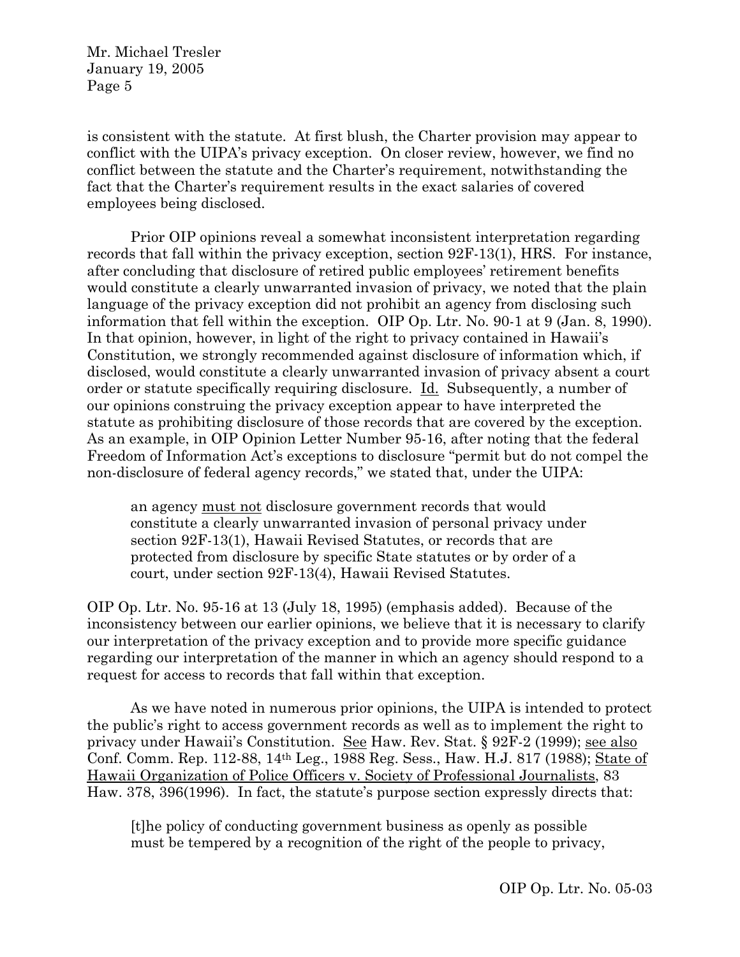is consistent with the statute. At first blush, the Charter provision may appear to conflict with the UIPA's privacy exception. On closer review, however, we find no conflict between the statute and the Charter's requirement, notwithstanding the fact that the Charter's requirement results in the exact salaries of covered employees being disclosed.

Prior OIP opinions reveal a somewhat inconsistent interpretation regarding records that fall within the privacy exception, section 92F-13(1), HRS. For instance, after concluding that disclosure of retired public employees' retirement benefits would constitute a clearly unwarranted invasion of privacy, we noted that the plain language of the privacy exception did not prohibit an agency from disclosing such information that fell within the exception. OIP Op. Ltr. No. 90-1 at 9 (Jan. 8, 1990). In that opinion, however, in light of the right to privacy contained in Hawaii's Constitution, we strongly recommended against disclosure of information which, if disclosed, would constitute a clearly unwarranted invasion of privacy absent a court order or statute specifically requiring disclosure. Id. Subsequently, a number of our opinions construing the privacy exception appear to have interpreted the statute as prohibiting disclosure of those records that are covered by the exception. As an example, in OIP Opinion Letter Number 95-16, after noting that the federal Freedom of Information Act's exceptions to disclosure "permit but do not compel the non-disclosure of federal agency records," we stated that, under the UIPA:

an agency must not disclosure government records that would constitute a clearly unwarranted invasion of personal privacy under section 92F-13(1), Hawaii Revised Statutes, or records that are protected from disclosure by specific State statutes or by order of a court, under section 92F-13(4), Hawaii Revised Statutes.

OIP Op. Ltr. No. 95-16 at 13 (July 18, 1995) (emphasis added). Because of the inconsistency between our earlier opinions, we believe that it is necessary to clarify our interpretation of the privacy exception and to provide more specific guidance regarding our interpretation of the manner in which an agency should respond to a request for access to records that fall within that exception.

As we have noted in numerous prior opinions, the UIPA is intended to protect the public's right to access government records as well as to implement the right to privacy under Hawaii's Constitution. See Haw. Rev. Stat. § 92F-2 (1999); see also Conf. Comm. Rep. 112-88, 14th Leg., 1988 Reg. Sess., Haw. H.J. 817 (1988); State of Hawaii Organization of Police Officers v. Society of Professional Journalists, 83 Haw. 378, 396(1996). In fact, the statute's purpose section expressly directs that:

[t]he policy of conducting government business as openly as possible must be tempered by a recognition of the right of the people to privacy,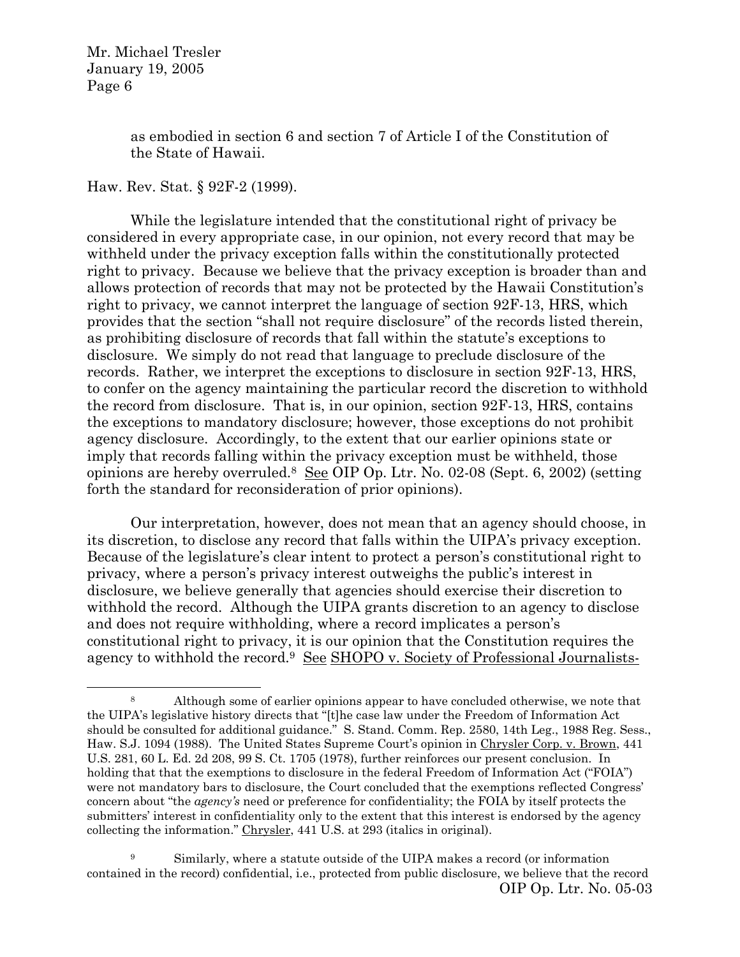$\overline{a}$ 

as embodied in section 6 and section 7 of Article I of the Constitution of the State of Hawaii.

Haw. Rev. Stat. § 92F-2 (1999).

While the legislature intended that the constitutional right of privacy be considered in every appropriate case, in our opinion, not every record that may be withheld under the privacy exception falls within the constitutionally protected right to privacy. Because we believe that the privacy exception is broader than and allows protection of records that may not be protected by the Hawaii Constitution's right to privacy, we cannot interpret the language of section 92F-13, HRS, which provides that the section "shall not require disclosure" of the records listed therein, as prohibiting disclosure of records that fall within the statute's exceptions to disclosure. We simply do not read that language to preclude disclosure of the records. Rather, we interpret the exceptions to disclosure in section 92F-13, HRS, to confer on the agency maintaining the particular record the discretion to withhold the record from disclosure. That is, in our opinion, section 92F-13, HRS, contains the exceptions to mandatory disclosure; however, those exceptions do not prohibit agency disclosure. Accordingly, to the extent that our earlier opinions state or imply that records falling within the privacy exception must be withheld, those opinions are hereby overruled.<sup>8</sup> See OIP Op. Ltr. No. 02-08 (Sept. 6, 2002) (setting forth the standard for reconsideration of prior opinions).

Our interpretation, however, does not mean that an agency should choose, in its discretion, to disclose any record that falls within the UIPA's privacy exception. Because of the legislature's clear intent to protect a person's constitutional right to privacy, where a person's privacy interest outweighs the public's interest in disclosure, we believe generally that agencies should exercise their discretion to withhold the record. Although the UIPA grants discretion to an agency to disclose and does not require withholding, where a record implicates a person's constitutional right to privacy, it is our opinion that the Constitution requires the agency to withhold the record.<sup>9</sup> See SHOPO v. Society of Professional Journalists-

<sup>8</sup> Although some of earlier opinions appear to have concluded otherwise, we note that the UIPA's legislative history directs that "[t]he case law under the Freedom of Information Act should be consulted for additional guidance." S. Stand. Comm. Rep. 2580, 14th Leg., 1988 Reg. Sess., Haw. S.J. 1094 (1988). The United States Supreme Court's opinion in Chrysler Corp. v. Brown, 441 U.S. 281, 60 L. Ed. 2d 208, 99 S. Ct. 1705 (1978), further reinforces our present conclusion. In holding that that the exemptions to disclosure in the federal Freedom of Information Act ("FOIA") were not mandatory bars to disclosure, the Court concluded that the exemptions reflected Congress' concern about "the *agency's* need or preference for confidentiality; the FOIA by itself protects the submitters' interest in confidentiality only to the extent that this interest is endorsed by the agency collecting the information." Chrysler, 441 U.S. at 293 (italics in original).

OIP Op. Ltr. No. 05-03 <sup>9</sup> Similarly, where a statute outside of the UIPA makes a record (or information contained in the record) confidential, i.e., protected from public disclosure, we believe that the record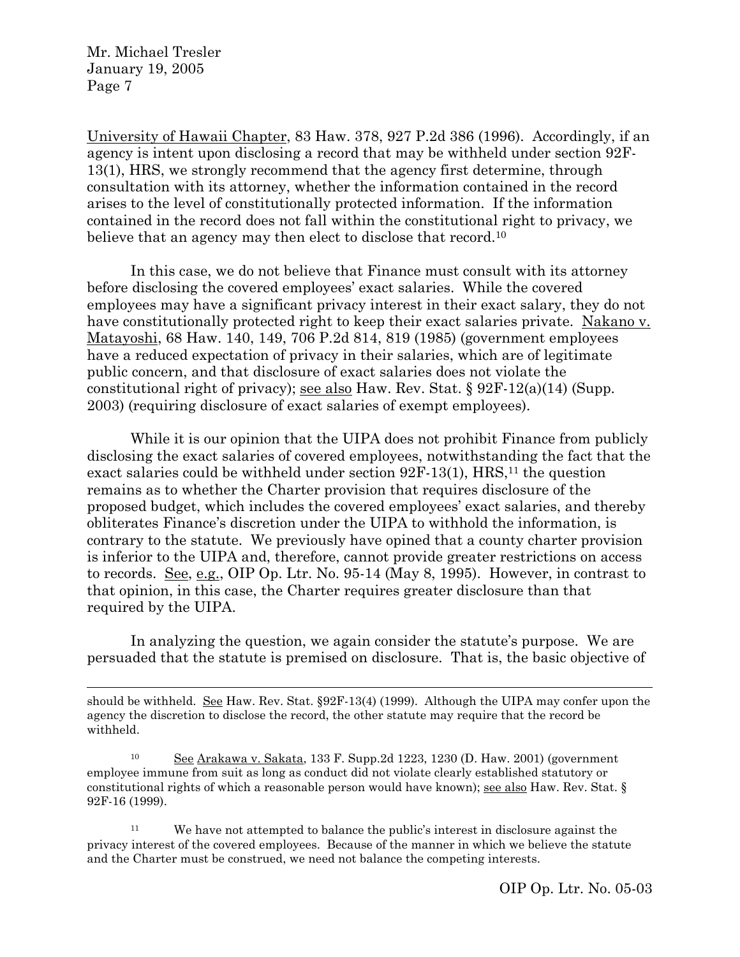$\overline{a}$ 

University of Hawaii Chapter, 83 Haw. 378, 927 P.2d 386 (1996). Accordingly, if an agency is intent upon disclosing a record that may be withheld under section 92F-13(1), HRS, we strongly recommend that the agency first determine, through consultation with its attorney, whether the information contained in the record arises to the level of constitutionally protected information. If the information contained in the record does not fall within the constitutional right to privacy, we believe that an agency may then elect to disclose that record.<sup>10</sup>

In this case, we do not believe that Finance must consult with its attorney before disclosing the covered employees' exact salaries. While the covered employees may have a significant privacy interest in their exact salary, they do not have constitutionally protected right to keep their exact salaries private. Nakano v. Matayoshi, 68 Haw. 140, 149, 706 P.2d 814, 819 (1985) (government employees have a reduced expectation of privacy in their salaries, which are of legitimate public concern, and that disclosure of exact salaries does not violate the constitutional right of privacy); see also Haw. Rev. Stat.  $\S 92F-12(a)(14)$  (Supp. 2003) (requiring disclosure of exact salaries of exempt employees).

While it is our opinion that the UIPA does not prohibit Finance from publicly disclosing the exact salaries of covered employees, notwithstanding the fact that the exact salaries could be withheld under section  $92F-13(1)$ , HRS,<sup>11</sup> the question remains as to whether the Charter provision that requires disclosure of the proposed budget, which includes the covered employees' exact salaries, and thereby obliterates Finance's discretion under the UIPA to withhold the information, is contrary to the statute. We previously have opined that a county charter provision is inferior to the UIPA and, therefore, cannot provide greater restrictions on access to records. See, e.g., OIP Op. Ltr. No. 95-14 (May 8, 1995). However, in contrast to that opinion, in this case, the Charter requires greater disclosure than that required by the UIPA.

In analyzing the question, we again consider the statute's purpose. We are persuaded that the statute is premised on disclosure. That is, the basic objective of

should be withheld. See Haw. Rev. Stat. §92F-13(4) (1999). Although the UIPA may confer upon the agency the discretion to disclose the record, the other statute may require that the record be withheld.

<sup>10</sup> See Arakawa v. Sakata, 133 F. Supp.2d 1223, 1230 (D. Haw. 2001) (government employee immune from suit as long as conduct did not violate clearly established statutory or constitutional rights of which a reasonable person would have known); see also Haw. Rev. Stat. § 92F-16 (1999).

<sup>11</sup> We have not attempted to balance the public's interest in disclosure against the privacy interest of the covered employees. Because of the manner in which we believe the statute and the Charter must be construed, we need not balance the competing interests.